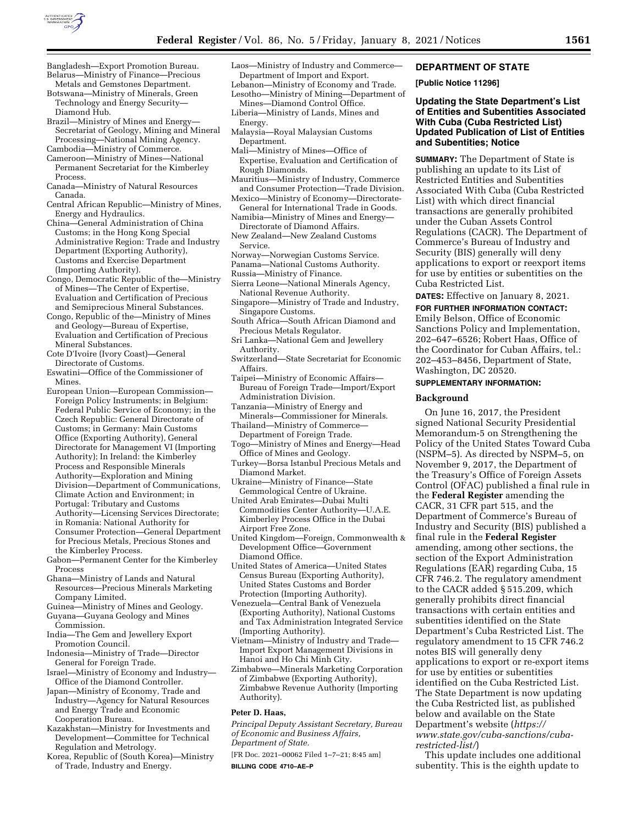

- Bangladesh—Export Promotion Bureau. Belarus—Ministry of Finance—Precious Metals and Gemstones Department.
- Botswana—Ministry of Minerals, Green Technology and Energy Security— Diamond Hub.
- Brazil—Ministry of Mines and Energy— Secretariat of Geology, Mining and Mineral Processing—National Mining Agency.
- Cambodia—Ministry of Commerce.
- Cameroon—Ministry of Mines—National Permanent Secretariat for the Kimberley Process.
- Canada—Ministry of Natural Resources Canada.
- Central African Republic—Ministry of Mines, Energy and Hydraulics.
- China—General Administration of China Customs; in the Hong Kong Special Administrative Region: Trade and Industry Department (Exporting Authority), Customs and Exercise Department (Importing Authority).
- Congo, Democratic Republic of the—Ministry of Mines—The Center of Expertise, Evaluation and Certification of Precious and Semiprecious Mineral Substances.
- Congo, Republic of the—Ministry of Mines and Geology—Bureau of Expertise, Evaluation and Certification of Precious Mineral Substances.
- Cote D'Ivoire (Ivory Coast)—General Directorate of Customs.
- Eswatini—Office of the Commissioner of Mines.
- European Union—European Commission— Foreign Policy Instruments; in Belgium: Federal Public Service of Economy; in the Czech Republic: General Directorate of Customs; in Germany: Main Customs Office (Exporting Authority), General Directorate for Management VI (Importing Authority); In Ireland: the Kimberley Process and Responsible Minerals Authority—Exploration and Mining Division—Department of Communications, Climate Action and Environment; in Portugal: Tributary and Customs Authority—Licensing Services Directorate; in Romania: National Authority for Consumer Protection—General Department for Precious Metals, Precious Stones and the Kimberley Process.
- Gabon—Permanent Center for the Kimberley Process
- Ghana—Ministry of Lands and Natural Resources—Precious Minerals Marketing Company Limited.
- Guinea—Ministry of Mines and Geology. Guyana—Guyana Geology and Mines Commission.
- India—The Gem and Jewellery Export Promotion Council.
- Indonesia—Ministry of Trade—Director General for Foreign Trade.
- Israel—Ministry of Economy and Industry— Office of the Diamond Controller.
- Japan—Ministry of Economy, Trade and Industry—Agency for Natural Resources and Energy Trade and Economic Cooperation Bureau.
- Kazakhstan—Ministry for Investments and Development—Committee for Technical Regulation and Metrology.
- Korea, Republic of (South Korea)—Ministry of Trade, Industry and Energy.
- Laos—Ministry of Industry and Commerce— Department of Import and Export.
- Lebanon—Ministry of Economy and Trade. Lesotho—Ministry of Mining—Department of
- Mines—Diamond Control Office. Liberia—Ministry of Lands, Mines and
- Energy. Malaysia—Royal Malaysian Customs
- Department.
- Mali—Ministry of Mines—Office of Expertise, Evaluation and Certification of Rough Diamonds.
- Mauritius—Ministry of Industry, Commerce and Consumer Protection—Trade Division.
- Mexico—Ministry of Economy—Directorate-General for International Trade in Goods.
- Namibia—Ministry of Mines and Energy— Directorate of Diamond Affairs.
- New Zealand—New Zealand Customs Service.
- Norway—Norwegian Customs Service.
- Panama—National Customs Authority.
- Russia—Ministry of Finance.
- Sierra Leone—National Minerals Agency,
- National Revenue Authority. Singapore—Ministry of Trade and Industry, Singapore Customs.
- South Africa—South African Diamond and Precious Metals Regulator.
- Sri Lanka—National Gem and Jewellery Authority.
- Switzerland—State Secretariat for Economic Affairs.
- Taipei—Ministry of Economic Affairs— Bureau of Foreign Trade—Import/Export Administration Division.
- Tanzania—Ministry of Energy and
- Minerals—Commissioner for Minerals. Thailand—Ministry of Commerce— Department of Foreign Trade.
- Togo—Ministry of Mines and Energy—Head Office of Mines and Geology.
- Turkey—Borsa Istanbul Precious Metals and Diamond Market.
- Ukraine—Ministry of Finance—State Gemmological Centre of Ukraine.
- United Arab Emirates—Dubai Multi Commodities Center Authority—U.A.E. Kimberley Process Office in the Dubai Airport Free Zone.
- United Kingdom—Foreign, Commonwealth & Development Office—Government Diamond Office.
- United States of America—United States Census Bureau (Exporting Authority), United States Customs and Border Protection (Importing Authority).
- Venezuela—Central Bank of Venezuela (Exporting Authority), National Customs and Tax Administration Integrated Service (Importing Authority).
- Vietnam—Ministry of Industry and Trade— Import Export Management Divisions in Hanoi and Ho Chi Minh City.
- Zimbabwe—Minerals Marketing Corporation of Zimbabwe (Exporting Authority), Zimbabwe Revenue Authority (Importing Authority).

# **Peter D. Haas,**

*Principal Deputy Assistant Secretary, Bureau of Economic and Business Affairs, Department of State.* 

[FR Doc. 2021–00062 Filed 1–7–21; 8:45 am] **BILLING CODE 4710–AE–P** 

# **DEPARTMENT OF STATE**

**[Public Notice 11296]** 

# **Updating the State Department's List of Entities and Subentities Associated With Cuba (Cuba Restricted List) Updated Publication of List of Entities and Subentities; Notice**

**SUMMARY:** The Department of State is publishing an update to its List of Restricted Entities and Subentities Associated With Cuba (Cuba Restricted List) with which direct financial transactions are generally prohibited under the Cuban Assets Control Regulations (CACR). The Department of Commerce's Bureau of Industry and Security (BIS) generally will deny applications to export or reexport items for use by entities or subentities on the Cuba Restricted List.

**DATES:** Effective on January 8, 2021.

**FOR FURTHER INFORMATION CONTACT:**  Emily Belson, Office of Economic Sanctions Policy and Implementation, 202–647–6526; Robert Haas, Office of the Coordinator for Cuban Affairs, tel.: 202–453–8456, Department of State, Washington, DC 20520.

## **SUPPLEMENTARY INFORMATION:**

## **Background**

On June 16, 2017, the President signed National Security Presidential Memorandum-5 on Strengthening the Policy of the United States Toward Cuba (NSPM–5). As directed by NSPM–5, on November 9, 2017, the Department of the Treasury's Office of Foreign Assets Control (OFAC) published a final rule in the **Federal Register** amending the CACR, 31 CFR part 515, and the Department of Commerce's Bureau of Industry and Security (BIS) published a final rule in the **Federal Register**  amending, among other sections, the section of the Export Administration Regulations (EAR) regarding Cuba, 15 CFR 746.2. The regulatory amendment to the CACR added § 515.209, which generally prohibits direct financial transactions with certain entities and subentities identified on the State Department's Cuba Restricted List. The regulatory amendment to 15 CFR 746.2 notes BIS will generally deny applications to export or re-export items for use by entities or subentities identified on the Cuba Restricted List. The State Department is now updating the Cuba Restricted list, as published below and available on the State Department's website (*[https://](https://www.state.gov/cuba-sanctions/cuba-restricted-list/) [www.state.gov/cuba-sanctions/cuba](https://www.state.gov/cuba-sanctions/cuba-restricted-list/)[restricted-list/](https://www.state.gov/cuba-sanctions/cuba-restricted-list/)*)

This update includes one additional subentity. This is the eighth update to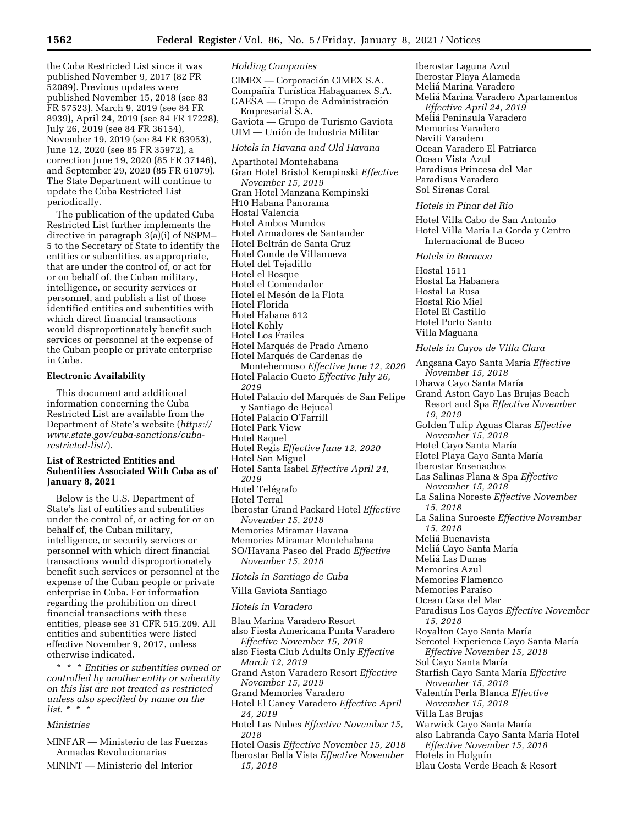the Cuba Restricted List since it was published November 9, 2017 (82 FR 52089). Previous updates were published November 15, 2018 (see 83 FR 57523), March 9, 2019 (see 84 FR 8939), April 24, 2019 (see 84 FR 17228), July 26, 2019 (see 84 FR 36154), November 19, 2019 (see 84 FR 63953), June 12, 2020 (see 85 FR 35972), a correction June 19, 2020 (85 FR 37146), and September 29, 2020 (85 FR 61079). The State Department will continue to update the Cuba Restricted List periodically.

The publication of the updated Cuba Restricted List further implements the directive in paragraph 3(a)(i) of NSPM– 5 to the Secretary of State to identify the entities or subentities, as appropriate, that are under the control of, or act for or on behalf of, the Cuban military, intelligence, or security services or personnel, and publish a list of those identified entities and subentities with which direct financial transactions would disproportionately benefit such services or personnel at the expense of the Cuban people or private enterprise in Cuba.

# **Electronic Availability**

This document and additional information concerning the Cuba Restricted List are available from the Department of State's website (*[https://](https://www.state.gov/cuba-sanctions/cuba-restricted-list/) [www.state.gov/cuba-sanctions/cuba](https://www.state.gov/cuba-sanctions/cuba-restricted-list/)[restricted-list/](https://www.state.gov/cuba-sanctions/cuba-restricted-list/)*).

## **List of Restricted Entities and Subentities Associated With Cuba as of January 8, 2021**

Below is the U.S. Department of State's list of entities and subentities under the control of, or acting for or on behalf of, the Cuban military, intelligence, or security services or personnel with which direct financial transactions would disproportionately benefit such services or personnel at the expense of the Cuban people or private enterprise in Cuba. For information regarding the prohibition on direct financial transactions with these entities, please see 31 CFR 515.209. All entities and subentities were listed effective November 9, 2017, unless otherwise indicated.

\* \* \* *Entities or subentities owned or controlled by another entity or subentity on this list are not treated as restricted unless also specified by name on the list. \* \* \** 

### *Ministries*

- MINFAR Ministerio de las Fuerzas Armadas Revolucionarias
- MININT Ministerio del Interior

### *Holding Companies*

CIMEX — Corporación CIMEX S.A. Compañía Turística Habaguanex S.A. GAESA — Grupo de Administración Empresarial S.A. Gaviota — Grupo de Turismo Gaviota UIM — Unión de Industria Militar *Hotels in Havana and Old Havana* 

Aparthotel Montehabana Gran Hotel Bristol Kempinski *Effective November 15, 2019*  Gran Hotel Manzana Kempinski H10 Habana Panorama Hostal Valencia Hotel Ambos Mundos Hotel Armadores de Santander Hotel Beltrán de Santa Cruz Hotel Conde de Villanueva Hotel del Tejadillo Hotel el Bosque Hotel el Comendador Hotel el Mesón de la Flota Hotel Florida Hotel Habana 612 Hotel Kohly Hotel Los Frailes Hotel Marqués de Prado Ameno Hotel Marqués de Cardenas de Montehermoso *Effective June 12, 2020*  Hotel Palacio Cueto *Effective July 26, 2019*  Hotel Palacio del Marqués de San Felipe y Santiago de Bejucal Hotel Palacio O'Farrill Hotel Park View Hotel Raquel Hotel Regis *Effective June 12, 2020*  Hotel San Miguel Hotel Santa Isabel *Effective April 24, 2019*  Hotel Telégrafo Hotel Terral Iberostar Grand Packard Hotel *Effective November 15, 2018*  Memories Miramar Havana Memories Miramar Montehabana SO/Havana Paseo del Prado *Effective November 15, 2018 Hotels in Santiago de Cuba*  Villa Gaviota Santiago *Hotels in Varadero*  Blau Marina Varadero Resort also Fiesta Americana Punta Varadero *Effective November 15, 2018*  also Fiesta Club Adults Only *Effective March 12, 2019*  Grand Aston Varadero Resort *Effective November 15, 2019*  Grand Memories Varadero Hotel El Caney Varadero *Effective April 24, 2019*  Hotel Las Nubes *Effective November 15,* 

- *2018*
- Hotel Oasis *Effective November 15, 2018*
- Iberostar Bella Vista *Effective November 15, 2018*

Iberostar Laguna Azul Iberostar Playa Alameda Melia´ Marina Varadero Melia´ Marina Varadero Apartamentos *Effective April 24, 2019*  Melia´ Peninsula Varadero Memories Varadero Naviti Varadero Ocean Varadero El Patriarca Ocean Vista Azul Paradisus Princesa del Mar Paradisus Varadero Sol Sirenas Coral

### *Hotels in Pinar del Rio*

Hotel Villa Cabo de San Antonio Hotel Villa Maria La Gorda y Centro Internacional de Buceo

*Hotels in Baracoa* 

Hostal 1511 Hostal La Habanera Hostal La Rusa Hostal Rio Miel Hotel El Castillo Hotel Porto Santo Villa Maguana

### *Hotels in Cayos de Villa Clara*

Angsana Cayo Santa Marı´a *Effective November 15, 2018*  Dhawa Cayo Santa María Grand Aston Cayo Las Brujas Beach Resort and Spa *Effective November 19, 2019*  Golden Tulip Aguas Claras *Effective November 15, 2018*  Hotel Cayo Santa María Hotel Playa Cayo Santa María Iberostar Ensenachos Las Salinas Plana & Spa *Effective November 15, 2018*  La Salina Noreste *Effective November 15, 2018*  La Salina Suroeste *Effective November 15, 2018*  Melia´ Buenavista Meliá Cayo Santa María Melia´ Las Dunas Memories Azul Memories Flamenco Memories Paraı´so Ocean Casa del Mar Paradisus Los Cayos *Effective November 15, 2018*  Royalton Cayo Santa María Sercotel Experience Cayo Santa María *Effective November 15, 2018*  Sol Cavo Santa María Starfish Cayo Santa Marı´a *Effective November 15, 2018*  Valentı´n Perla Blanca *Effective November 15, 2018*  Villa Las Brujas Warwick Cayo Santa María also Labranda Cayo Santa María Hotel *Effective November 15, 2018*  Hotels in Holguín Blau Costa Verde Beach & Resort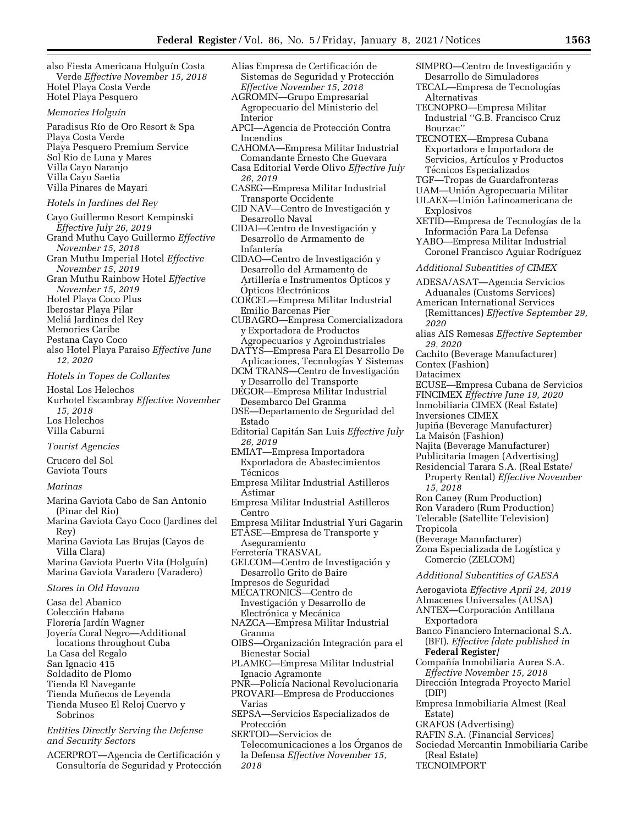also Fiesta Americana Holguín Costa Verde *Effective November 15, 2018*  Hotel Playa Costa Verde Hotel Playa Pesquero

### *Memories Holguı´n*

Paradisus Rı´o de Oro Resort & Spa Playa Costa Verde Playa Pesquero Premium Service Sol Rio de Luna y Mares Villa Cayo Naranjo Villa Cayo Saetia Villa Pinares de Mayari

# *Hotels in Jardines del Rey*

- Cayo Guillermo Resort Kempinski *Effective July 26, 2019*  Grand Muthu Cayo Guillermo *Effective November 15, 2018*  Gran Muthu Imperial Hotel *Effective November 15, 2019*  Gran Muthu Rainbow Hotel *Effective*
- *November 15, 2019*
- Hotel Playa Coco Plus
- Iberostar Playa Pilar
- Melia´ Jardines del Rey
- Memories Caribe
- Pestana Cayo Coco
- also Hotel Playa Paraiso *Effective June 12, 2020*

#### *Hotels in Topes de Collantes*

- Hostal Los Helechos Kurhotel Escambray *Effective November 15, 2018*  Los Helechos Villa Caburni
- *Tourist Agencies*
- Crucero del Sol
- Gaviota Tours

## *Marinas*

- Marina Gaviota Cabo de San Antonio (Pinar del Rio)
- Marina Gaviota Cayo Coco (Jardines del Rey)
- Marina Gaviota Las Brujas (Cayos de Villa Clara) Marina Gaviota Puerto Vita (Holguín)
- Marina Gaviota Varadero (Varadero)

# *Stores in Old Havana*

- Casa del Abanico
- Colección Habana
- Florería Jardín Wagner
- Joyería Coral Negro—Additional locations throughout Cuba
- La Casa del Regalo
- 
- San Ignacio 415
- Soldadito de Plomo
- Tienda El Navegante Tienda Muñecos de Leyenda
- Tienda Museo El Reloj Cuervo y
- Sobrinos

# *Entities Directly Serving the Defense and Security Sectors*

ACERPROT—Agencia de Certificación y Consultoría de Seguridad y Protección

- Alias Empresa de Certificación de Sistemas de Seguridad y Protección *Effective November 15, 2018*
- AGROMIN—Grupo Empresarial Agropecuario del Ministerio del Interior
- APCI—Agencia de Protección Contra Incendios
- CAHOMA—Empresa Militar Industrial Comandante Ernesto Che Guevara Casa Editorial Verde Olivo *Effective July*
- *26, 2019*
- CASEG—Empresa Militar Industrial Transporte Occidente
- $CID NAV$ —Centro de Investigación y Desarrollo Naval
- CIDAI—Centro de Investigación y Desarrollo de Armamento de Infantería
- CIDAO-Centro de Investigación y Desarrollo del Armamento de Artillería e Instrumentos Opticos y Ópticos Electrónicos
- CORCEL—Empresa Militar Industrial Emilio Barcenas Pier
- CUBAGRO—Empresa Comercializadora y Exportadora de Productos Agropecuarios y Agroindustriales
- DATYS—Empresa Para El Desarrollo De Aplicaciones, Tecnologías Y Sistemas
- DCM TRANS—Centro de Investigación y Desarrollo del Transporte
- DEGOR—Empresa Militar Industrial Desembarco Del Granma
- DSE—Departamento de Seguridad del Estado
- Editorial Capita´n San Luis *Effective July 26, 2019*
- EMIAT—Empresa Importadora Exportadora de Abastecimientos Técnicos
- Empresa Militar Industrial Astilleros Astimar
- Empresa Militar Industrial Astilleros Centro
- Empresa Militar Industrial Yuri Gagarin
- ETASE—Empresa de Transporte y Aseguramiento
- Ferretería TRASVAL
- GELCOM—Centro de Investigación y Desarrollo Grito de Baire
- Impresos de Seguridad MECATRONICS—Centro de
- Investigacio´n y Desarrollo de Electrónica y Mecánica
- NAZCA—Empresa Militar Industrial Granma
- OIBS—Organización Integración para el Bienestar Social
- PLAMEC—Empresa Militar Industrial Ignacio Agramonte
- PNR—Policía Nacional Revolucionaria PROVARI—Empresa de Producciones
- Varias
- SEPSA—Servicios Especializados de Protección
- SERTOD—Servicios de
- Telecomunicaciones a los Organos de la Defensa *Effective November 15, 2018*
- SIMPRO—Centro de Investigación y Desarrollo de Simuladores
- TECAL—Empresa de Tecnologías Alternativas
- TECNOPRO—Empresa Militar Industrial ''G.B. Francisco Cruz Bourzac''
- TECNOTEX—Empresa Cubana Exportadora e Importadora de Servicios, Artículos y Productos Técnicos Especializados
- TGF—Tropas de Guardafronteras
- UAM-Unión Agropecuaria Militar
- ULAEX-Unión Latinoamericana de Explosivos
- XETID—Empresa de Tecnologías de la Informacio´n Para La Defensa
- YABO—Empresa Militar Industrial Coronel Francisco Aguiar Rodríguez

### *Additional Subentities of CIMEX*

- ADESA/ASAT—Agencia Servicios Aduanales (Customs Services)
- American International Services
- (Remittances) *Effective September 29, 2020*
- alias AIS Remesas *Effective September 29, 2020*
- Cachito (Beverage Manufacturer) Contex (Fashion)
- 
- Datacimex
- ECUSE—Empresa Cubana de Servicios
- FINCIMEX *Effective June 19, 2020*  Inmobiliaria CIMEX (Real Estate)
- Inversiones CIMEX
- Jupiña (Beverage Manufacturer)
- La Maisón (Fashion)
- Najita (Beverage Manufacturer)
- Publicitaria Imagen (Advertising)
- Residencial Tarara S.A. (Real Estate/ Property Rental) *Effective November*

# *15, 2018*

Ron Caney (Rum Production)

(Beverage Manufacturer)

Comercio (ZELCOM)

Exportadora

(DIP)

Estate)

**Federal Register***]* 

GRAFOS (Advertising)

(Real Estate) TECNOIMPORT

- Ron Varadero (Rum Production)
- Telecable (Satellite Television)

Zona Especializada de Logística y

*Additional Subentities of GAESA*  Aerogaviota *Effective April 24, 2019*  Almacenes Universales (AUSA) ANTEX-Corporación Antillana

Banco Financiero Internacional S.A. (BFI). *Effective [date published in* 

Compañía Inmobiliaria Aurea S.A. *Effective November 15, 2018*  Dirección Integrada Proyecto Mariel

Empresa Inmobiliaria Almest (Real

RAFIN S.A. (Financial Services) Sociedad Mercantin Inmobiliaria Caribe

Tropicola